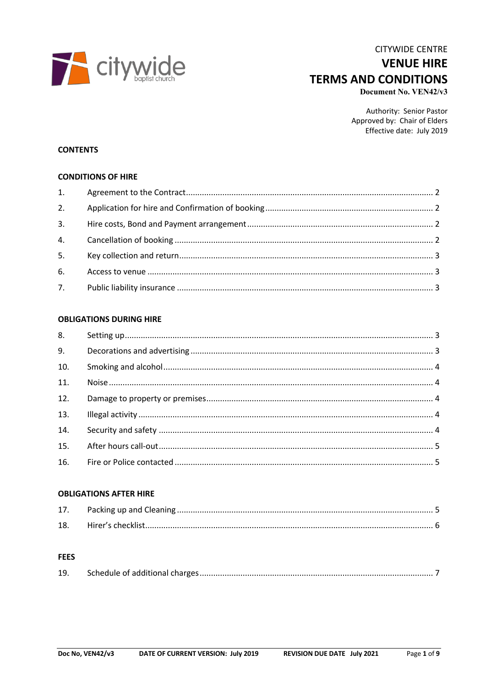

# **CITYWIDE CENTRE VENUE HIRE TERMS AND CONDITIONS**

Document No. VEN42/v3

Authority: Senior Pastor Approved by: Chair of Elders Effective date: July 2019

#### **CONTENTS**

#### **CONDITIONS OF HIRE**

### **OBLIGATIONS DURING HIRE**

| 8.  |  |
|-----|--|
| 9.  |  |
| 10. |  |
| 11. |  |
| 12. |  |
| 13. |  |
| 14. |  |
| 15. |  |
|     |  |

#### **OBLIGATIONS AFTER HIRE**

| 17. |  |
|-----|--|
|     |  |

#### **FEES**

| 19. |  |  |
|-----|--|--|
|-----|--|--|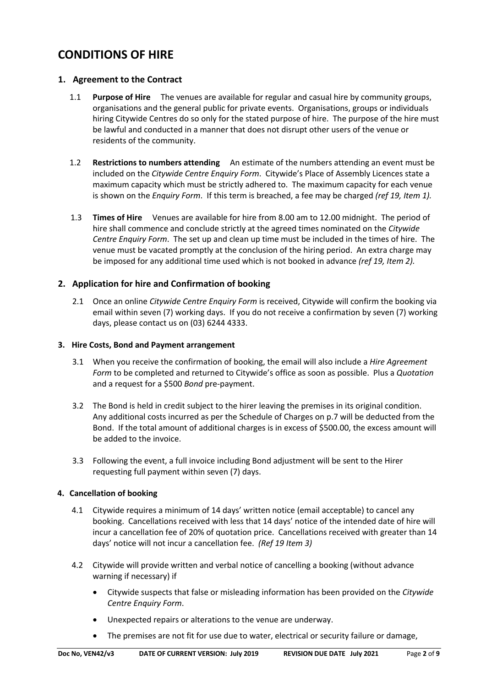# **CONDITIONS OF HIRE**

## **1. Agreement to the Contract**

- 1.1 **Purpose of Hire** The venues are available for regular and casual hire by community groups, organisations and the general public for private events. Organisations, groups or individuals hiring Citywide Centres do so only for the stated purpose of hire. The purpose of the hire must be lawful and conducted in a manner that does not disrupt other users of the venue or residents of the community.
- 1.2 **Restrictions to numbers attending** An estimate of the numbers attending an event must be included on the *Citywide Centre Enquiry Form*. Citywide's Place of Assembly Licences state a maximum capacity which must be strictly adhered to. The maximum capacity for each venue is shown on the *Enquiry Form*. If this term is breached, a fee may be charged *(ref 19, Item 1).*
- 1.3 **Times of Hire** Venues are available for hire from 8.00 am to 12.00 midnight. The period of hire shall commence and conclude strictly at the agreed times nominated on the *Citywide Centre Enquiry Form*. The set up and clean up time must be included in the times of hire. The venue must be vacated promptly at the conclusion of the hiring period. An extra charge may be imposed for any additional time used which is not booked in advance *(ref 19, Item 2).*

## **2. Application for hire and Confirmation of booking**

2.1 Once an online *Citywide Centre Enquiry Form* is received, Citywide will confirm the booking via email within seven (7) working days. If you do not receive a confirmation by seven (7) working days, please contact us on (03) 6244 4333.

### **3. Hire Costs, Bond and Payment arrangement**

- 3.1 When you receive the confirmation of booking, the email will also include a *Hire Agreement Form* to be completed and returned to Citywide's office as soon as possible. Plus a *Quotation* and a request for a \$500 *Bond* pre-payment.
- 3.2 The Bond is held in credit subject to the hirer leaving the premises in its original condition. Any additional costs incurred as per the Schedule of Charges on p.7 will be deducted from the Bond. If the total amount of additional charges is in excess of \$500.00, the excess amount will be added to the invoice.
- 3.3 Following the event, a full invoice including Bond adjustment will be sent to the Hirer requesting full payment within seven (7) days.

## **4. Cancellation of booking**

- 4.1 Citywide requires a minimum of 14 days' written notice (email acceptable) to cancel any booking. Cancellations received with less that 14 days' notice of the intended date of hire will incur a cancellation fee of 20% of quotation price. Cancellations received with greater than 14 days' notice will not incur a cancellation fee. *(Ref 19 Item 3)*
- 4.2 Citywide will provide written and verbal notice of cancelling a booking (without advance warning if necessary) if
	- Citywide suspects that false or misleading information has been provided on the *Citywide Centre Enquiry Form*.
	- Unexpected repairs or alterations to the venue are underway.
	- The premises are not fit for use due to water, electrical or security failure or damage,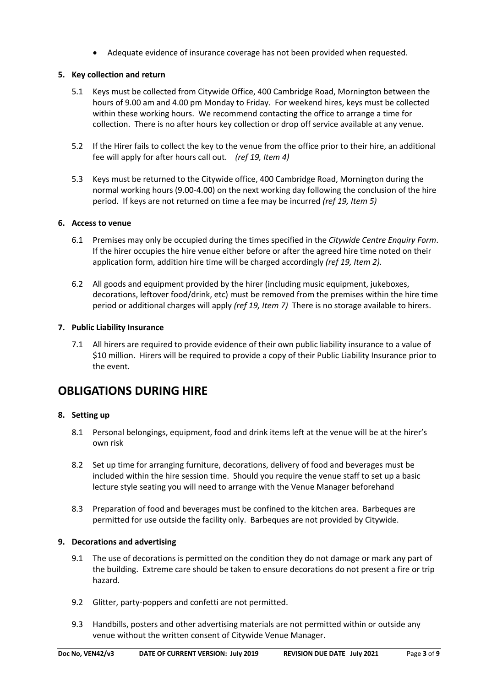• Adequate evidence of insurance coverage has not been provided when requested.

## **5. Key collection and return**

- 5.1 Keys must be collected from Citywide Office, 400 Cambridge Road, Mornington between the hours of 9.00 am and 4.00 pm Monday to Friday. For weekend hires, keys must be collected within these working hours. We recommend contacting the office to arrange a time for collection. There is no after hours key collection or drop off service available at any venue.
- 5.2 If the Hirer fails to collect the key to the venue from the office prior to their hire, an additional fee will apply for after hours call out. *(ref 19, Item 4)*
- 5.3 Keys must be returned to the Citywide office, 400 Cambridge Road, Mornington during the normal working hours (9.00-4.00) on the next working day following the conclusion of the hire period. If keys are not returned on time a fee may be incurred *(ref 19, Item 5)*

## **6. Access to venue**

- 6.1 Premises may only be occupied during the times specified in the *Citywide Centre Enquiry Form*. If the hirer occupies the hire venue either before or after the agreed hire time noted on their application form, addition hire time will be charged accordingly *(ref 19, Item 2).*
- 6.2 All goods and equipment provided by the hirer (including music equipment, jukeboxes, decorations, leftover food/drink, etc) must be removed from the premises within the hire time period or additional charges will apply *(ref 19, Item 7)* There is no storage available to hirers.

## **7. Public Liability Insurance**

7.1 All hirers are required to provide evidence of their own public liability insurance to a value of \$10 million. Hirers will be required to provide a copy of their Public Liability Insurance prior to the event.

# **OBLIGATIONS DURING HIRE**

## **8. Setting up**

- 8.1 Personal belongings, equipment, food and drink items left at the venue will be at the hirer's own risk
- 8.2 Set up time for arranging furniture, decorations, delivery of food and beverages must be included within the hire session time. Should you require the venue staff to set up a basic lecture style seating you will need to arrange with the Venue Manager beforehand
- 8.3 Preparation of food and beverages must be confined to the kitchen area. Barbeques are permitted for use outside the facility only. Barbeques are not provided by Citywide.

## **9. Decorations and advertising**

- 9.1 The use of decorations is permitted on the condition they do not damage or mark any part of the building. Extreme care should be taken to ensure decorations do not present a fire or trip hazard.
- 9.2 Glitter, party-poppers and confetti are not permitted.
- 9.3 Handbills, posters and other advertising materials are not permitted within or outside any venue without the written consent of Citywide Venue Manager.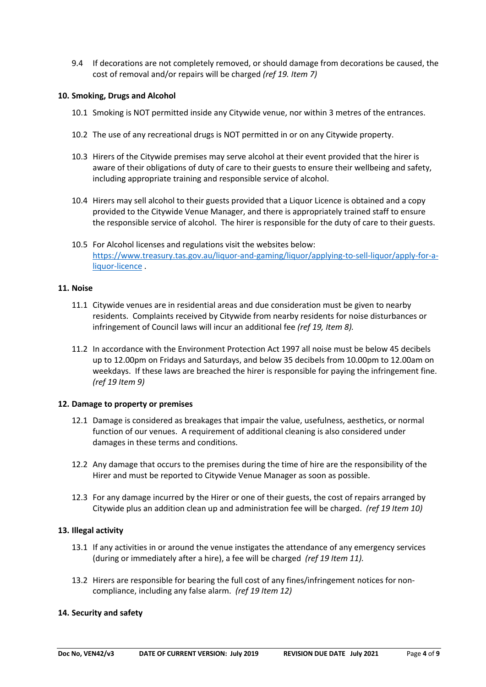9.4 If decorations are not completely removed, or should damage from decorations be caused, the cost of removal and/or repairs will be charged *(ref 19. Item 7)*

#### **10. Smoking, Drugs and Alcohol**

- 10.1 Smoking is NOT permitted inside any Citywide venue, nor within 3 metres of the entrances.
- 10.2 The use of any recreational drugs is NOT permitted in or on any Citywide property.
- 10.3 Hirers of the Citywide premises may serve alcohol at their event provided that the hirer is aware of their obligations of duty of care to their guests to ensure their wellbeing and safety, including appropriate training and responsible service of alcohol.
- 10.4 Hirers may sell alcohol to their guests provided that a Liquor Licence is obtained and a copy provided to the Citywide Venue Manager, and there is appropriately trained staff to ensure the responsible service of alcohol. The hirer is responsible for the duty of care to their guests.
- 10.5 For Alcohol licenses and regulations visit the websites below: https://www.treasury.tas.gov.au/liquor-and-gaming/liquor/applying-to-sell-liquor/apply-for-aliquor-licence .

#### **11. Noise**

- 11.1 Citywide venues are in residential areas and due consideration must be given to nearby residents. Complaints received by Citywide from nearby residents for noise disturbances or infringement of Council laws will incur an additional fee *(ref 19, Item 8).*
- 11.2 In accordance with the Environment Protection Act 1997 all noise must be below 45 decibels up to 12.00pm on Fridays and Saturdays, and below 35 decibels from 10.00pm to 12.00am on weekdays. If these laws are breached the hirer is responsible for paying the infringement fine. *(ref 19 Item 9)*

#### **12. Damage to property or premises**

- 12.1 Damage is considered as breakages that impair the value, usefulness, aesthetics, or normal function of our venues. A requirement of additional cleaning is also considered under damages in these terms and conditions.
- 12.2 Any damage that occurs to the premises during the time of hire are the responsibility of the Hirer and must be reported to Citywide Venue Manager as soon as possible.
- 12.3 For any damage incurred by the Hirer or one of their guests, the cost of repairs arranged by Citywide plus an addition clean up and administration fee will be charged. *(ref 19 Item 10)*

#### **13. Illegal activity**

- 13.1 If any activities in or around the venue instigates the attendance of any emergency services (during or immediately after a hire), a fee will be charged *(ref 19 Item 11).*
- 13.2 Hirers are responsible for bearing the full cost of any fines/infringement notices for noncompliance, including any false alarm. *(ref 19 Item 12)*

#### **14. Security and safety**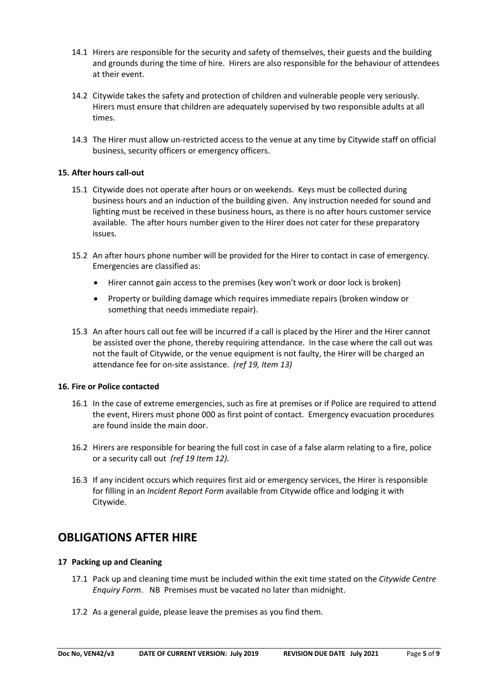- 14.1 Hirers are responsible for the security and safety of themselves, their guests and the building and grounds during the time of hire. Hirers are also responsible for the behaviour of attendees at their event.
- 14.2 Citywide takes the safety and protection of children and vulnerable people very seriously. Hirers must ensure that children are adequately supervised by two responsible adults at all times.
- 14.3 The Hirer must allow un-restricted access to the venue at any time by Citywide staff on official business, security officers or emergency officers.

#### **15. After hours call-out**

- 15.1 Citywide does not operate after hours or on weekends. Keys must be collected during business hours and an induction of the building given. Any instruction needed for sound and lighting must be received in these business hours, as there is no after hours customer service available. The after hours number given to the Hirer does not cater for these preparatory issues.
- 15.2 An after hours phone number will be provided for the Hirer to contact in case of emergency. Emergencies are classified as:
	- Hirer cannot gain access to the premises (key won't work or door lock is broken)
	- Property or building damage which requires immediate repairs (broken window or something that needs immediate repair).
- 15.3 An after hours call out fee will be incurred if a call is placed by the Hirer and the Hirer cannot be assisted over the phone, thereby requiring attendance. In the case where the call out was not the fault of Citywide, or the venue equipment is not faulty, the Hirer will be charged an attendance fee for on-site assistance. *(ref 19, Item 13)*

#### **16. Fire or Police contacted**

- 16.1 In the case of extreme emergencies, such as fire at premises or if Police are required to attend the event, Hirers must phone 000 as first point of contact. Emergency evacuation procedures are found inside the main door.
- 16.2 Hirers are responsible for bearing the full cost in case of a false alarm relating to a fire, police or a security call out *(ref 19 Item 12).*
- 16.3 If any incident occurs which requires first aid or emergency services, the Hirer is responsible for filling in an *Incident Report Form* available from Citywide office and lodging it with Citywide.

# **OBLIGATIONS AFTER HIRE**

## **17 Packing up and Cleaning**

- 17.1 Pack up and cleaning time must be included within the exit time stated on the *Citywide Centre Enquiry Form*. NB Premises must be vacated no later than midnight.
- 17.2 As a general guide, please leave the premises as you find them.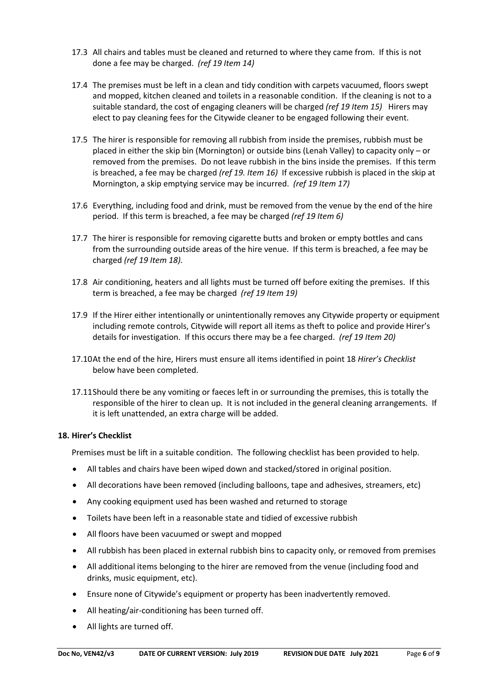- 17.3 All chairs and tables must be cleaned and returned to where they came from. If this is not done a fee may be charged. *(ref 19 Item 14)*
- 17.4 The premises must be left in a clean and tidy condition with carpets vacuumed, floors swept and mopped, kitchen cleaned and toilets in a reasonable condition. If the cleaning is not to a suitable standard, the cost of engaging cleaners will be charged *(ref 19 Item 15)* Hirers may elect to pay cleaning fees for the Citywide cleaner to be engaged following their event.
- 17.5 The hirer is responsible for removing all rubbish from inside the premises, rubbish must be placed in either the skip bin (Mornington) or outside bins (Lenah Valley) to capacity only – or removed from the premises. Do not leave rubbish in the bins inside the premises. If this term is breached, a fee may be charged *(ref 19. Item 16)* If excessive rubbish is placed in the skip at Mornington, a skip emptying service may be incurred. *(ref 19 Item 17)*
- 17.6 Everything, including food and drink, must be removed from the venue by the end of the hire period. If this term is breached, a fee may be charged *(ref 19 Item 6)*
- 17.7 The hirer is responsible for removing cigarette butts and broken or empty bottles and cans from the surrounding outside areas of the hire venue. If this term is breached, a fee may be charged *(ref 19 Item 18).*
- 17.8 Air conditioning, heaters and all lights must be turned off before exiting the premises. If this term is breached, a fee may be charged *(ref 19 Item 19)*
- 17.9 If the Hirer either intentionally or unintentionally removes any Citywide property or equipment including remote controls, Citywide will report all items as theft to police and provide Hirer's details for investigation. If this occurs there may be a fee charged. *(ref 19 Item 20)*
- 17.10At the end of the hire, Hirers must ensure all items identified in point 18 *Hirer's Checklist* below have been completed.
- 17.11Should there be any vomiting or faeces left in or surrounding the premises, this is totally the responsible of the hirer to clean up. It is not included in the general cleaning arrangements. If it is left unattended, an extra charge will be added.

## **18. Hirer's Checklist**

Premises must be lift in a suitable condition. The following checklist has been provided to help.

- All tables and chairs have been wiped down and stacked/stored in original position.
- All decorations have been removed (including balloons, tape and adhesives, streamers, etc)
- Any cooking equipment used has been washed and returned to storage
- Toilets have been left in a reasonable state and tidied of excessive rubbish
- All floors have been vacuumed or swept and mopped
- All rubbish has been placed in external rubbish bins to capacity only, or removed from premises
- All additional items belonging to the hirer are removed from the venue (including food and drinks, music equipment, etc).
- Ensure none of Citywide's equipment or property has been inadvertently removed.
- All heating/air-conditioning has been turned off.
- All lights are turned off.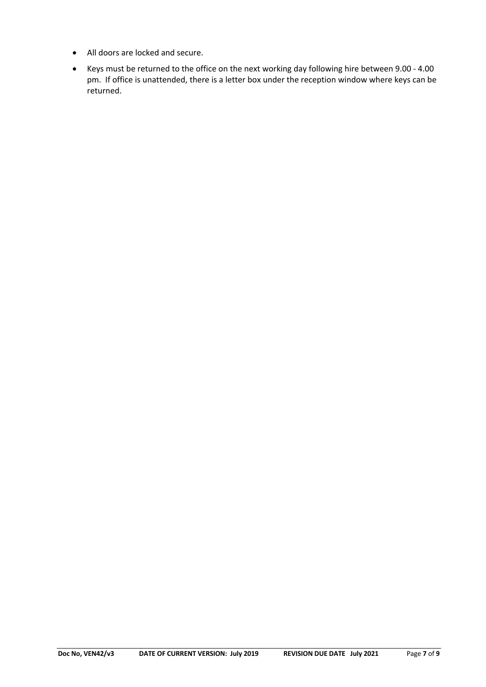- All doors are locked and secure.
- Keys must be returned to the office on the next working day following hire between 9.00 4.00 pm. If office is unattended, there is a letter box under the reception window where keys can be returned.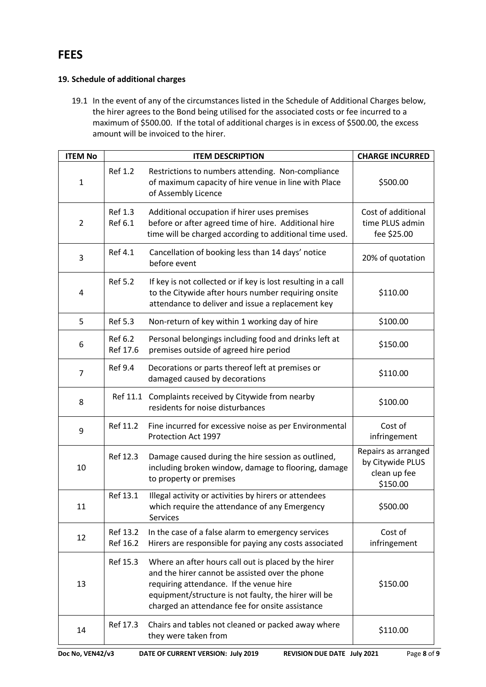# **19. Schedule of additional charges**

19.1 In the event of any of the circumstances listed in the Schedule of Additional Charges below, the hirer agrees to the Bond being utilised for the associated costs or fee incurred to a maximum of \$500.00. If the total of additional charges is in excess of \$500.00, the excess amount will be invoiced to the hirer.

| <b>ITEM No</b> |                           | <b>ITEM DESCRIPTION</b>                                                                                                                                                                                                                                       | <b>CHARGE INCURRED</b>                                              |
|----------------|---------------------------|---------------------------------------------------------------------------------------------------------------------------------------------------------------------------------------------------------------------------------------------------------------|---------------------------------------------------------------------|
| $\mathbf 1$    | <b>Ref 1.2</b>            | Restrictions to numbers attending. Non-compliance<br>of maximum capacity of hire venue in line with Place<br>of Assembly Licence                                                                                                                              | \$500.00                                                            |
| $\overline{2}$ | <b>Ref 1.3</b><br>Ref 6.1 | Additional occupation if hirer uses premises<br>before or after agreed time of hire. Additional hire<br>time will be charged according to additional time used.                                                                                               | Cost of additional<br>time PLUS admin<br>fee \$25.00                |
| 3              | Ref 4.1                   | Cancellation of booking less than 14 days' notice<br>before event                                                                                                                                                                                             | 20% of quotation                                                    |
| 4              | <b>Ref 5.2</b>            | If key is not collected or if key is lost resulting in a call<br>to the Citywide after hours number requiring onsite<br>attendance to deliver and issue a replacement key                                                                                     | \$110.00                                                            |
| 5              | <b>Ref 5.3</b>            | Non-return of key within 1 working day of hire                                                                                                                                                                                                                | \$100.00                                                            |
| 6              | Ref 6.2<br>Ref 17.6       | Personal belongings including food and drinks left at<br>premises outside of agreed hire period                                                                                                                                                               | \$150.00                                                            |
| $\overline{7}$ | <b>Ref 9.4</b>            | Decorations or parts thereof left at premises or<br>damaged caused by decorations                                                                                                                                                                             | \$110.00                                                            |
| 8              |                           | Ref 11.1 Complaints received by Citywide from nearby<br>residents for noise disturbances                                                                                                                                                                      | \$100.00                                                            |
| 9              | Ref 11.2                  | Fine incurred for excessive noise as per Environmental<br>Protection Act 1997                                                                                                                                                                                 | Cost of<br>infringement                                             |
| 10             | Ref 12.3                  | Damage caused during the hire session as outlined,<br>including broken window, damage to flooring, damage<br>to property or premises                                                                                                                          | Repairs as arranged<br>by Citywide PLUS<br>clean up fee<br>\$150.00 |
| 11             | Ref 13.1                  | Illegal activity or activities by hirers or attendees<br>which require the attendance of any Emergency<br>Services                                                                                                                                            | \$500.00                                                            |
| 12             | Ref 13.2<br>Ref 16.2      | In the case of a false alarm to emergency services<br>Hirers are responsible for paying any costs associated                                                                                                                                                  | Cost of<br>infringement                                             |
| 13             | Ref 15.3                  | Where an after hours call out is placed by the hirer<br>and the hirer cannot be assisted over the phone<br>requiring attendance. If the venue hire<br>equipment/structure is not faulty, the hirer will be<br>charged an attendance fee for onsite assistance | \$150.00                                                            |
| 14             | Ref 17.3                  | Chairs and tables not cleaned or packed away where<br>they were taken from                                                                                                                                                                                    | \$110.00                                                            |